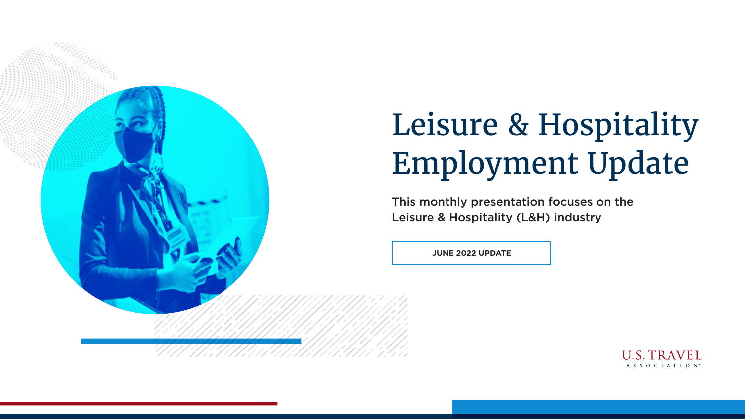

# Leisure & Hospitality Employment Update

**JUNE 2022 UPDATE**



This monthly presentation focuses on the Leisure & Hospitality (L&H) industry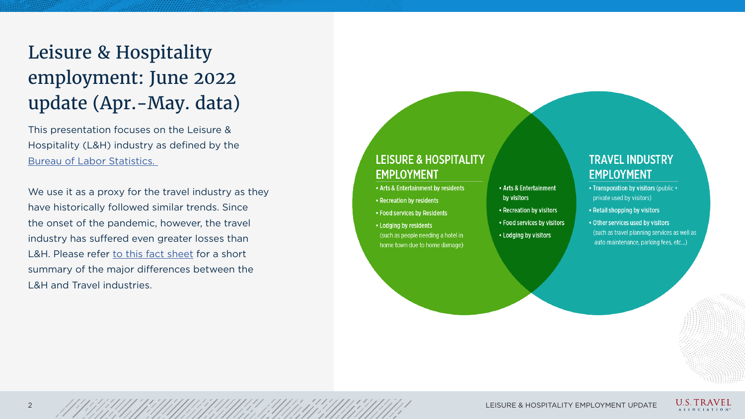This presentation focuses on the Leisure & Hospitality (L&H) industry as defined by the Bureau of Labor Statistics.

We use it as a proxy for the travel industry as they have historically followed similar trends. Since the onset of the pandemic, however, the travel industry has suffered even greater losses than L&H. Please refer to this fact sheet for a short summary of the major differences between the L&H and Travel industries.

#### **LEISURE & HOSPITALITY EMPLOYMENT**

- . Arts & Entertainment by residents
- Recreation by residents
- Food services by Residents
- Lodging by residents (such as people needing a hotel in home town due to home damage)
- Arts & Entertainment by visitors
- Recreation by visitors
- Food services by visitors
- Lodging by visitors

#### **TRAVEL INDUSTRY EMPLOYMENT**

- Transporation by visitors (public + private used by visitors)
- Retail shopping by visitors
- . Other services used by visitors (such as travel planning services as well as auto maintenance, parking fees, etc...)

2 APPOIL AND ANNO 1998 CEISURE & HOSPITALITY EMPLOYMENT UPDATE





### Leisure & Hospitality employment: June 2022 update (Apr.-May. data)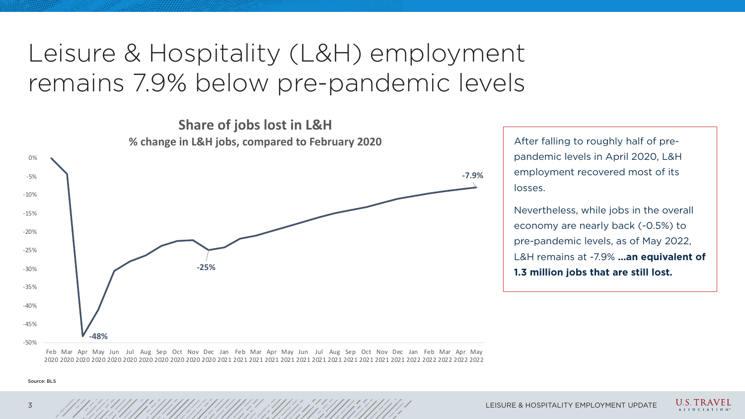## Leisure & Hospitality (L&H) employment remains 7.9% below pre-pandemic levels

After falling to roughly half of prepandemic levels in April 2020, L&H employment recovered most of its losses.

Nevertheless, while jobs in the overall economy are nearly back (-0.5%) to pre-pandemic levels, as of May 2022, L&H remains at -7.9% **…an equivalent of 1.3 million jobs that are still lost.**



U.S. TRAVEL A S S O C I A T I O N

Source: BLS



**Share of jobs lost in L&H**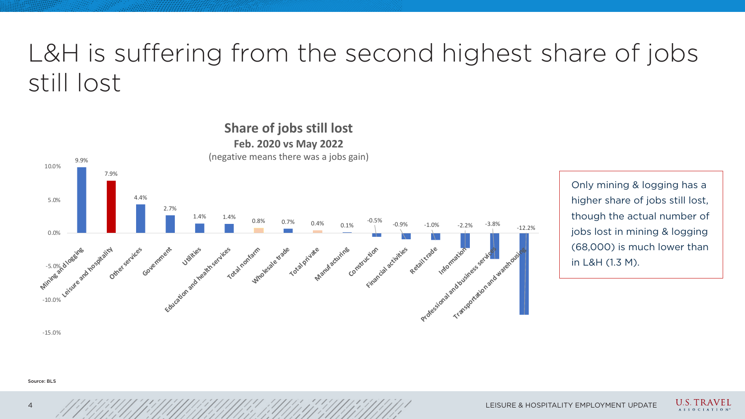-15.0%



9.9% 7.9% 4.4% 2.7% -10.0% leisures  $-5.0%$ 0.0% 5.0% 10.0% **Mining and logging Leisure and hospitality Government Utilities** Education and health **Total non-farm Mindesale trade Total Private Manufacturing Feb. 2020 vs May 2022** (negative means there was a jobs gain)

### **Share of jobs still lost**

## L&H is suffering from the second highest share of jobs still lost

Source: BLS

Only mining & logging has a higher share of jobs still lost, though the actual number of jobs lost in mining & logging (68,000) is much lower than in L&H (1.3 M).

4 LEISURE & HOSPITALITY EMPLOYMENT UPDATE







**U.S. TRAVEL** A S S O C I A T I O N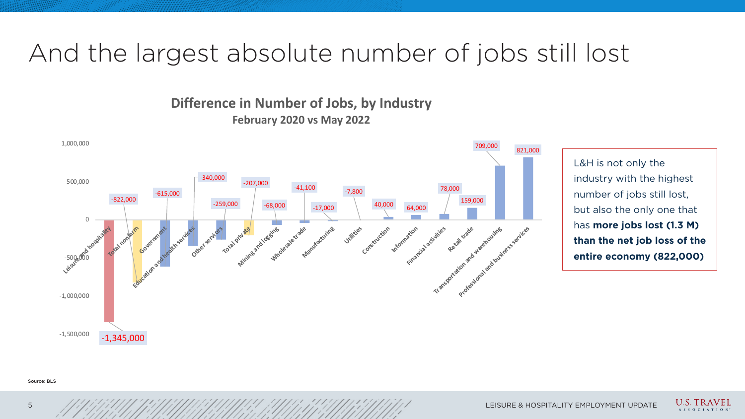## And the largest absolute number of jobs still lost

L&H is not only the industry with the highest number of jobs still lost, but also the only one that has **more jobs lost (1.3 M) than the net job loss of the entire economy (822,000)**

5 LEISURE & HOSPITALITY EMPLOYMENT UPDATE





**U.S. TRAVEL** A S S O C I A T I O N

Source: BLS



#### **Difference in Number of Jobs, by Industry February 2020 vs May 2022**

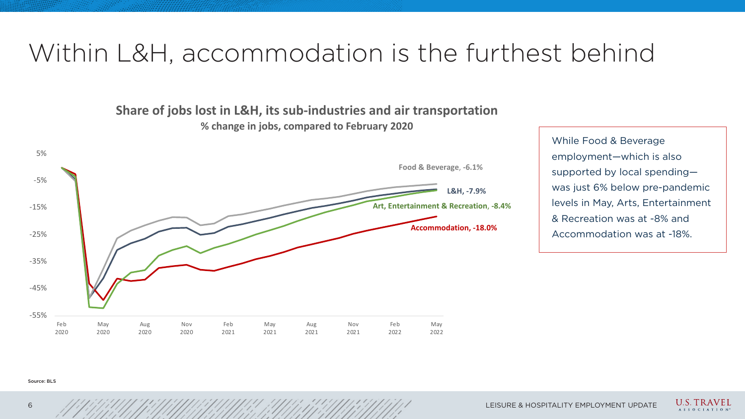## Within L&H, accommodation is the furthest behind

While Food & Beverage employment—which is also supported by local spending was just 6% below pre-pandemic levels in May, Arts, Entertainment & Recreation was at -8% and Accommodation was at -18%.

#### Source: BLS



| <b>Nov</b> | Feb  | May  |
|------------|------|------|
| 2021       | 2022 | 2022 |



6 HOSPITALITY EMPLOYMENT UPDATE



**U.S. TRAVEL** A S S O C I A T I O N

**Share of jobs lost in L&H, its sub-industries and air transportation % change in jobs, compared to February 2020** 

**L&H, -7.9%**

**Food & Beverage**, **-6.1%**

**Art, Entertainment & Recreation**, **-8.4%**

**Accommodation, -18.0%**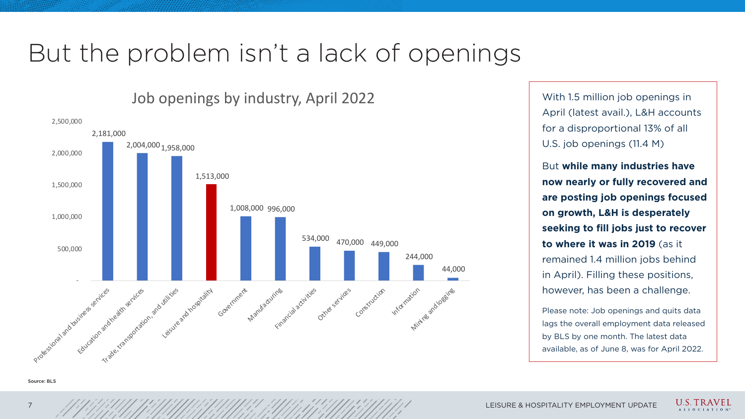## But the problem isn't a lack of openings

With 1.5 million job openings in April (latest avail.), L&H accounts for a disproportional 13% of all U.S. job openings (11.4 M)

But **while many industries have now nearly or fully recovered and are posting job openings focused on growth, L&H is desperately seeking to fill jobs just to recover to where it was in 2019** (as it remained 1.4 million jobs behind in April). Filling these positions, however, has been a challenge.

Please note: Job openings and quits data lags the overall employment data released by BLS by one month. The latest data available, as of June 8, was for April 2022.



LEISURE & HOSPITALITY EMPLOYMENT UPDATE







Source: BLS



#### Job openings by industry, April 2022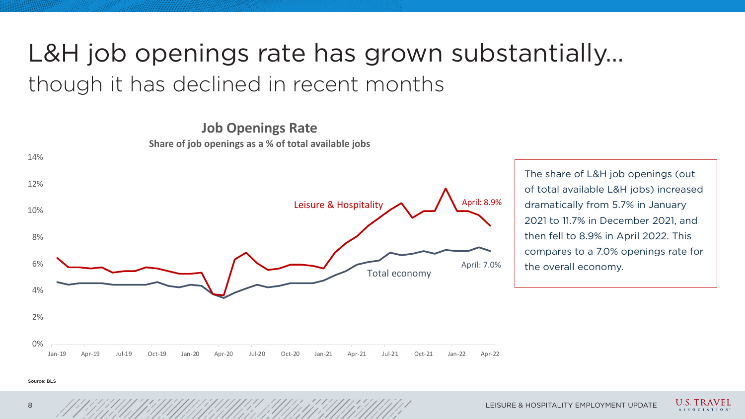



**U.S. TRAVEL** A S S O C I A T I O N

## L&H job openings rate has grown substantially… though it has declined in recent months

The share of L&H job openings (out of total available L&H jobs) increased dramatically from 5.7% in January 2021 to 11.7% in December 2021, and then fell to 8.9% in April 2022. This compares to a 7.0% openings rate for the overall economy.



Source: BLS

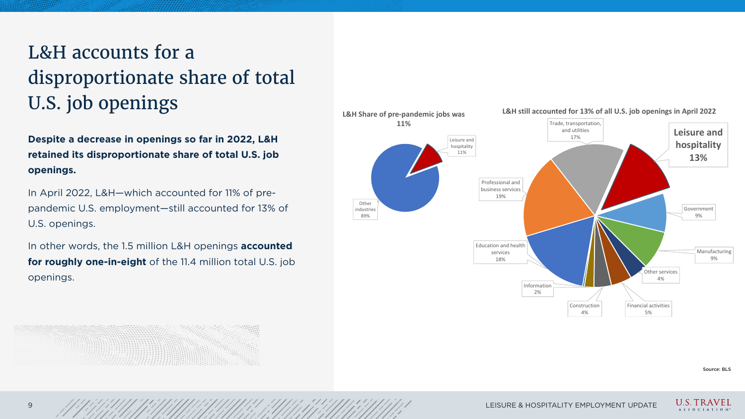### L&H accounts for a disproportionate share of total U.S. job openings

**Despite a decrease in openings so far in 2022, L&H retained its disproportionate share of total U.S. job openings.**

In April 2022, L&H—which accounted for 11% of prepandemic U.S. employment—still accounted for 13% of U.S. openings.

In other words, the 1.5 million L&H openings **accounted for roughly one-in-eight** of the 11.4 million total U.S. job openings.



Source: BLS





#### **L&H still accounted for 13% of all U.S. job openings in April 2022**



9 LEISURE & HOSPITALITY EMPLOYMENT UPDATE







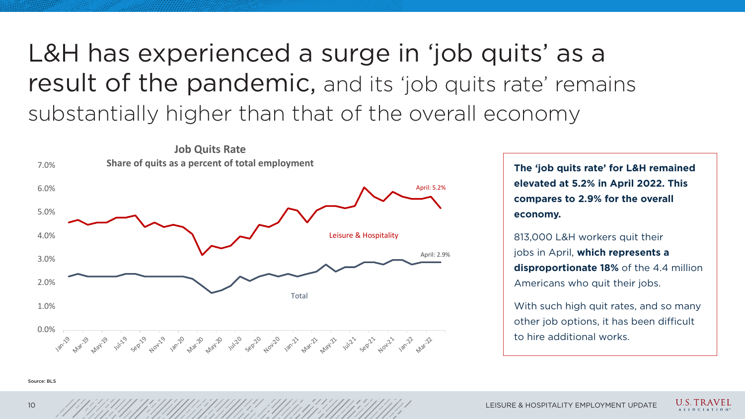







**The 'job quits rate' for L&H remained elevated at 5.2% in April 2022. This compares to 2.9% for the overall economy.**

With such high quit rates, and so many other job options, it has been difficult to hire additional works.

813,000 L&H workers quit their jobs in April, **which represents a disproportionate 18%** of the 4.4 million Americans who quit their jobs.

## L&H has experienced a surge in 'job quits' as a result of the pandemic, and its 'job quits rate' remains substantially higher than that of the overall economy

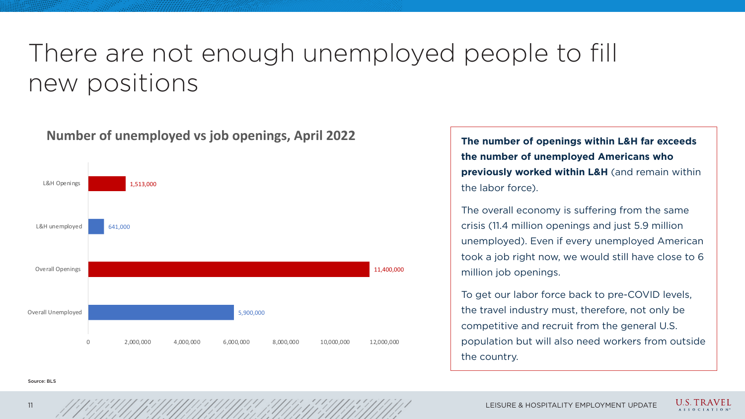### There are not enough unemployed people to fill new positions

**The number of openings within L&H far exceeds the number of unemployed Americans who previously worked within L&H** (and remain within the labor force).

The overall economy is suffering from the same crisis (11.4 million openings and just 5.9 million unemployed). Even if every unemployed American took a job right now, we would still have close to 6 million job openings.

To get our labor force back to pre-COVID levels, the travel industry must, therefore, not only be competitive and recruit from the general U.S. population but will also need workers from outside the country.

Source: BLS

11,400,000

 $11$  LEISURE & HOSPITALITY EMPLOYMENT UPDATE









#### **Number of unemployed vs job openings, April 2022**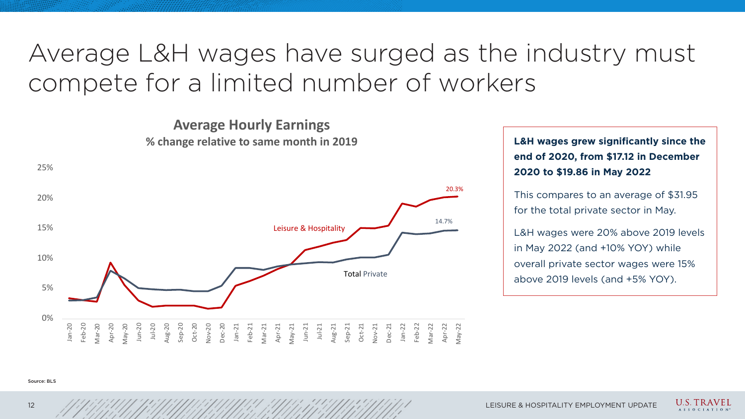





**U.S. TRAVEL** A S S O C I A T I O N

## Average L&H wages have surged as the industry must compete for a limited number of workers

**L&H wages grew significantly since the end of 2020, from \$17.12 in December 2020 to \$19.86 in May 2022**

This compares to an average of \$31.95 for the total private sector in May.

L&H wages were 20% above 2019 levels in May 2022 (and +10% YOY) while overall private sector wages were 15% above 2019 levels (and +5% YOY).

#### Source: BLS



**Average Hourly Earnings**